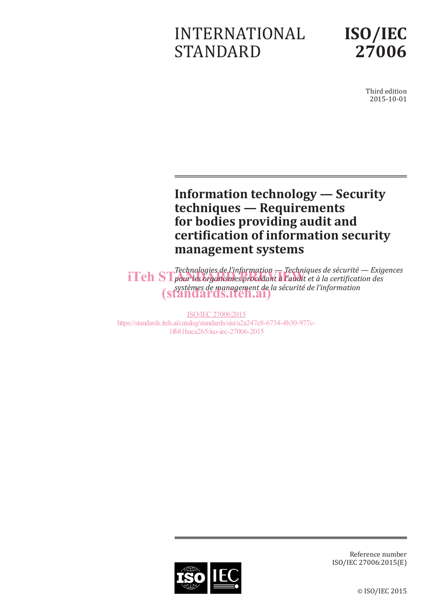# INTERNATIONAL STANDARD



Third edition 2015-10-01

## **Information technology — Security techniques — Requirements for bodies providing audit and certification of information security management systems**

*Technologies de l'information — Techniques de sécurité — Exigences*  **iTeh ST** pour les organismes procédant à l'audit et à la certification des *systèmes de management de la sécurité de l'information* (standards.iteh.ai)

ISO/IEC 27006:2015 https://standards.iteh.ai/catalog/standards/sist/a2a247e8-6734-4b30-977c-1f681baca265/iso-iec-27006-2015



Reference number ISO/IEC 27006:2015(E)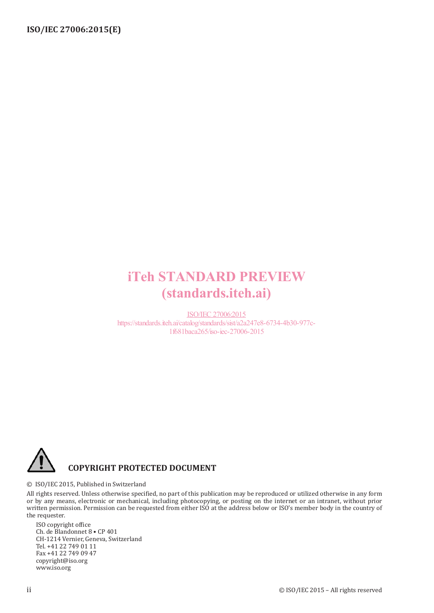## iTeh STANDARD PREVIEW (standards.iteh.ai)

ISO/IEC 27006:2015 https://standards.iteh.ai/catalog/standards/sist/a2a247e8-6734-4b30-977c-1f681baca265/iso-iec-27006-2015



© ISO/IEC 2015, Published in Switzerland

All rights reserved. Unless otherwise specified, no part of this publication may be reproduced or utilized otherwise in any form or by any means, electronic or mechanical, including photocopying, or posting on the internet or an intranet, without prior written permission. Permission can be requested from either ISO at the address below or ISO's member body in the country of the requester.

ISO copyright office Ch. de Blandonnet 8 • CP 401 CH-1214 Vernier, Geneva, Switzerland Tel. +41 22 749 01 11 Fax +41 22 749 09 47 copyright@iso.org www.iso.org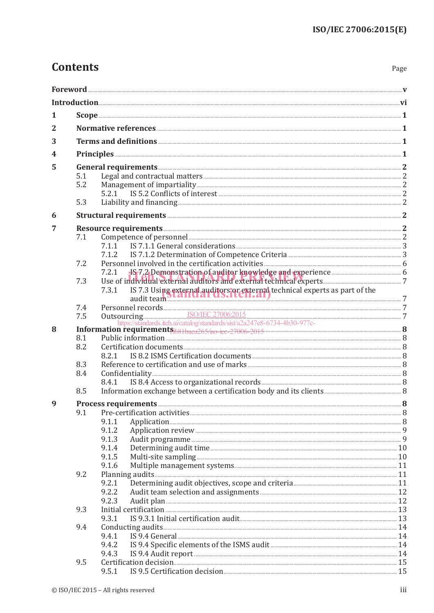## **Contents**

| . .<br>×<br>۹<br>×<br>×<br>v |
|------------------------------|
|------------------------------|

| 2 |                                                                                                                                                                                                                                                                                                                                                                              |                                                                                                                                                                                                                                |  |  |  |  |
|---|------------------------------------------------------------------------------------------------------------------------------------------------------------------------------------------------------------------------------------------------------------------------------------------------------------------------------------------------------------------------------|--------------------------------------------------------------------------------------------------------------------------------------------------------------------------------------------------------------------------------|--|--|--|--|
|   |                                                                                                                                                                                                                                                                                                                                                                              |                                                                                                                                                                                                                                |  |  |  |  |
| 3 |                                                                                                                                                                                                                                                                                                                                                                              |                                                                                                                                                                                                                                |  |  |  |  |
| 4 |                                                                                                                                                                                                                                                                                                                                                                              |                                                                                                                                                                                                                                |  |  |  |  |
| 5 |                                                                                                                                                                                                                                                                                                                                                                              |                                                                                                                                                                                                                                |  |  |  |  |
|   | 5.1                                                                                                                                                                                                                                                                                                                                                                          |                                                                                                                                                                                                                                |  |  |  |  |
|   | 5.2                                                                                                                                                                                                                                                                                                                                                                          |                                                                                                                                                                                                                                |  |  |  |  |
|   |                                                                                                                                                                                                                                                                                                                                                                              |                                                                                                                                                                                                                                |  |  |  |  |
|   | 5.3                                                                                                                                                                                                                                                                                                                                                                          |                                                                                                                                                                                                                                |  |  |  |  |
| 6 |                                                                                                                                                                                                                                                                                                                                                                              |                                                                                                                                                                                                                                |  |  |  |  |
| 7 |                                                                                                                                                                                                                                                                                                                                                                              |                                                                                                                                                                                                                                |  |  |  |  |
|   | 7.1                                                                                                                                                                                                                                                                                                                                                                          | Competence of personnel 22 and 23 and 23 and 24 and 25 and 26 and 26 and 26 and 26 and 26 and 26 and 26 and 26 and 26 and 26 and 26 and 26 and 26 and 26 and 26 and 26 and 26 and 26 and 26 and 26 and 26 and 26 and 26 and 26 |  |  |  |  |
|   |                                                                                                                                                                                                                                                                                                                                                                              | 7.1.1                                                                                                                                                                                                                          |  |  |  |  |
|   |                                                                                                                                                                                                                                                                                                                                                                              | 7.1.2                                                                                                                                                                                                                          |  |  |  |  |
|   | 7.2                                                                                                                                                                                                                                                                                                                                                                          |                                                                                                                                                                                                                                |  |  |  |  |
|   |                                                                                                                                                                                                                                                                                                                                                                              | 7.2.1                                                                                                                                                                                                                          |  |  |  |  |
|   | 7.3                                                                                                                                                                                                                                                                                                                                                                          |                                                                                                                                                                                                                                |  |  |  |  |
|   |                                                                                                                                                                                                                                                                                                                                                                              | IS 7.3 Using external auditors or external technical experts as part of the audit team and technical experts as part of the<br>7.3.1                                                                                           |  |  |  |  |
|   |                                                                                                                                                                                                                                                                                                                                                                              |                                                                                                                                                                                                                                |  |  |  |  |
|   |                                                                                                                                                                                                                                                                                                                                                                              |                                                                                                                                                                                                                                |  |  |  |  |
|   |                                                                                                                                                                                                                                                                                                                                                                              |                                                                                                                                                                                                                                |  |  |  |  |
| 8 | $\begin{tabular}{ll} 7.4 & Personal records. & \underline{ISO/IEC 27006:2015} & \\ 7.5 & Outsourcing. & \underline{ISO/IEC 27006:2015} & \\ & https://standards.iteh.a/catalog/standards/sist/a2a247e8-6734-4b30-977c- & \\ \textbf{Information requirements}_{F68:1baca265/iso-ice-27006-2015} & \textbf{8} & \\ 8.1 & Public information. & \textbf{8} & \\ \end{tabular}$ |                                                                                                                                                                                                                                |  |  |  |  |
|   |                                                                                                                                                                                                                                                                                                                                                                              |                                                                                                                                                                                                                                |  |  |  |  |
|   | 8.2                                                                                                                                                                                                                                                                                                                                                                          | 8.2.1                                                                                                                                                                                                                          |  |  |  |  |
|   | 8.3                                                                                                                                                                                                                                                                                                                                                                          |                                                                                                                                                                                                                                |  |  |  |  |
|   | 8.4                                                                                                                                                                                                                                                                                                                                                                          |                                                                                                                                                                                                                                |  |  |  |  |
|   |                                                                                                                                                                                                                                                                                                                                                                              | 8.4.1                                                                                                                                                                                                                          |  |  |  |  |
|   | 8.5                                                                                                                                                                                                                                                                                                                                                                          |                                                                                                                                                                                                                                |  |  |  |  |
| 9 |                                                                                                                                                                                                                                                                                                                                                                              |                                                                                                                                                                                                                                |  |  |  |  |
|   | 9.1                                                                                                                                                                                                                                                                                                                                                                          |                                                                                                                                                                                                                                |  |  |  |  |
|   |                                                                                                                                                                                                                                                                                                                                                                              | 9.1.1                                                                                                                                                                                                                          |  |  |  |  |
|   |                                                                                                                                                                                                                                                                                                                                                                              | 9.1.2                                                                                                                                                                                                                          |  |  |  |  |
|   |                                                                                                                                                                                                                                                                                                                                                                              | 9.1.3                                                                                                                                                                                                                          |  |  |  |  |
|   |                                                                                                                                                                                                                                                                                                                                                                              | 9.1.4                                                                                                                                                                                                                          |  |  |  |  |
|   |                                                                                                                                                                                                                                                                                                                                                                              | 9.1.5                                                                                                                                                                                                                          |  |  |  |  |
|   |                                                                                                                                                                                                                                                                                                                                                                              | 9.1.6                                                                                                                                                                                                                          |  |  |  |  |
|   | 9.2                                                                                                                                                                                                                                                                                                                                                                          |                                                                                                                                                                                                                                |  |  |  |  |
|   |                                                                                                                                                                                                                                                                                                                                                                              | 9.2.1                                                                                                                                                                                                                          |  |  |  |  |
|   |                                                                                                                                                                                                                                                                                                                                                                              | 9.2.2                                                                                                                                                                                                                          |  |  |  |  |
|   |                                                                                                                                                                                                                                                                                                                                                                              | 9.2.3                                                                                                                                                                                                                          |  |  |  |  |
|   | 9.3                                                                                                                                                                                                                                                                                                                                                                          | Initial certification <b>Exercise 23</b><br>9.3.1                                                                                                                                                                              |  |  |  |  |
|   | 9.4                                                                                                                                                                                                                                                                                                                                                                          |                                                                                                                                                                                                                                |  |  |  |  |
|   |                                                                                                                                                                                                                                                                                                                                                                              | 9.4.1                                                                                                                                                                                                                          |  |  |  |  |
|   |                                                                                                                                                                                                                                                                                                                                                                              | 9.4.2                                                                                                                                                                                                                          |  |  |  |  |
|   |                                                                                                                                                                                                                                                                                                                                                                              | 9.4.3                                                                                                                                                                                                                          |  |  |  |  |
|   | 9.5                                                                                                                                                                                                                                                                                                                                                                          |                                                                                                                                                                                                                                |  |  |  |  |
|   |                                                                                                                                                                                                                                                                                                                                                                              | 9.5.1                                                                                                                                                                                                                          |  |  |  |  |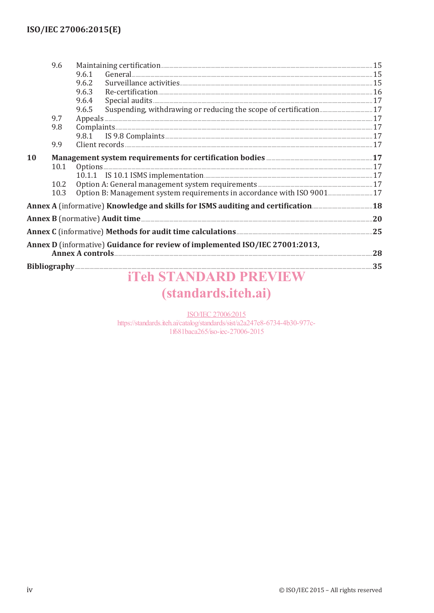|           | 9.6  |                                                                                                                         |  |  |
|-----------|------|-------------------------------------------------------------------------------------------------------------------------|--|--|
|           |      | General 2000 Constant 2000 Constant 2000 Constant 2000 Constant 2000 Constant 2000 Constant 2000 Constant 2000<br>9.6.1 |  |  |
|           |      | 9.6.2                                                                                                                   |  |  |
|           |      | 9.6.3                                                                                                                   |  |  |
|           |      | 9.6.4                                                                                                                   |  |  |
|           |      | 9.6.5                                                                                                                   |  |  |
|           | 9.7  |                                                                                                                         |  |  |
|           | 9.8  |                                                                                                                         |  |  |
|           |      | 9.8.1 IS 9.8 Complaints <b>State of the Complaints</b> 37                                                               |  |  |
|           | 9.9  |                                                                                                                         |  |  |
| <b>10</b> |      | Management system requirements for certification bodies <b>Management</b> system 17                                     |  |  |
|           | 10.1 |                                                                                                                         |  |  |
|           |      |                                                                                                                         |  |  |
|           | 10.2 |                                                                                                                         |  |  |
|           | 10.3 | Option B: Management system requirements in accordance with ISO 9001 17                                                 |  |  |
|           |      |                                                                                                                         |  |  |
|           |      |                                                                                                                         |  |  |
|           |      |                                                                                                                         |  |  |
|           |      | Annex D (informative) Guidance for review of implemented ISO/IEC 27001:2013,                                            |  |  |
|           |      | Annex A controls 28                                                                                                     |  |  |
|           |      |                                                                                                                         |  |  |
|           |      | <b>Teh STANDARD PREVIE</b>                                                                                              |  |  |

# (standards.iteh.ai)

**ISO/IEC 27006:2015** 

https://standards.iteh.ai/catalog/standards/sist/a2a247e8-6734-4b30-977c-1f681baca265/iso-iec-27006-2015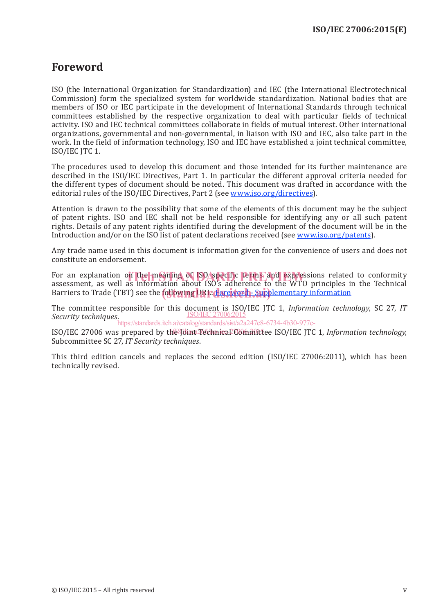## **Foreword**

ISO (the International Organization for Standardization) and IEC (the International Electrotechnical Commission) form the specialized system for worldwide standardization. National bodies that are members of ISO or IEC participate in the development of International Standards through technical committees established by the respective organization to deal with particular fields of technical activity. ISO and IEC technical committees collaborate in fields of mutual interest. Other international organizations, governmental and non-governmental, in liaison with ISO and IEC, also take part in the work. In the field of information technology, ISO and IEC have established a joint technical committee, ISO/IEC JTC 1.

The procedures used to develop this document and those intended for its further maintenance are described in the ISO/IEC Directives, Part 1. In particular the different approval criteria needed for the different types of document should be noted. This document was drafted in accordance with the editorial rules of the ISO/IEC Directives, Part 2 (see www.iso.org/directives).

Attention is drawn to the possibility that some of the elements of this document may be the subject of patent rights. ISO and IEC shall not be held responsible for identifying any or all such patent rights. Details of any patent rights identified during the development of the document will be in the Introduction and/or on the ISO list of patent declarations received (see www.iso.org/patents).

Any trade name used in this document is information given for the convenience of users and does not constitute an endorsement.

For an explanation on the meaning of ISO/specific terms and expressions related to conformity<br>assessment as well as information about ISO's adherence to the WTO principles in the Technical assessment, as well as information about ISO's adherence to the WTO principles in the Technical Barriers to Trade (TBT) see the **following URL: Foreword - Supplementary** information

The committee responsible for this document is ISO/IEC JTC 1, *Information technology*, SC 27, *IT Security techniques*. ISO/IEC 27006:2015 https://standards.iteh.ai/catalog/standards/sist/a2a247e8-6734-4b30-977c-

ISO/IEC 27006 was prepared by the Joint Technical Committee ISO/IEC JTC 1, Information technology, Subcommittee SC 27, *IT Security techniques*.

This third edition cancels and replaces the second edition (ISO/IEC 27006:2011), which has been technically revised.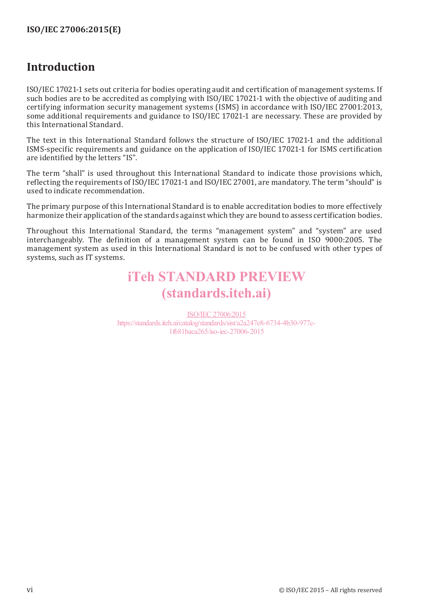## **Introduction**

ISO/IEC 17021-1 sets out criteria for bodies operating audit and certification of management systems. If such bodies are to be accredited as complying with ISO/IEC 17021-1 with the objective of auditing and certifying information security management systems (ISMS) in accordance with ISO/IEC 27001:2013, some additional requirements and guidance to ISO/IEC 17021-1 are necessary. These are provided by this International Standard.

The text in this International Standard follows the structure of ISO/IEC 17021-1 and the additional ISMS-specific requirements and guidance on the application of ISO/IEC 17021-1 for ISMS certification are identified by the letters "IS".

The term "shall" is used throughout this International Standard to indicate those provisions which, reflecting the requirements of ISO/IEC 17021-1 and ISO/IEC 27001, are mandatory. The term "should" is used to indicate recommendation.

The primary purpose of this International Standard is to enable accreditation bodies to more effectively harmonize their application of the standards against which they are bound to assess certification bodies.

Throughout this International Standard, the terms "management system" and "system" are used interchangeably. The definition of a management system can be found in ISO 9000:2005. The management system as used in this International Standard is not to be confused with other types of systems, such as IT systems.

## iTeh STANDARD PREVIEW (standards.iteh.ai)

ISO/IEC 27006:2015 https://standards.iteh.ai/catalog/standards/sist/a2a247e8-6734-4b30-977c-1f681baca265/iso-iec-27006-2015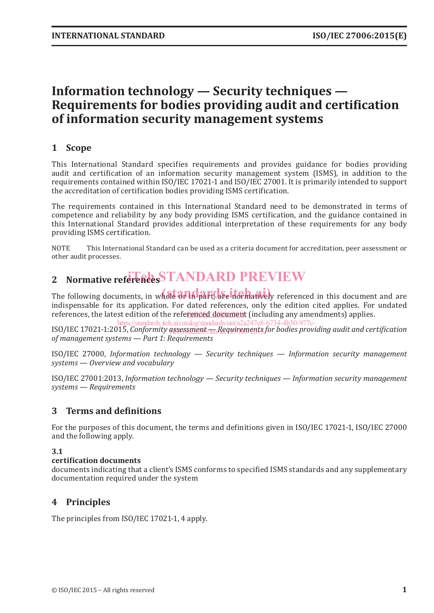## **Information technology — Security techniques — Requirements for bodies providing audit and certification of information security management systems**

## **1 Scope**

This International Standard specifies requirements and provides guidance for bodies providing audit and certification of an information security management system (ISMS), in addition to the requirements contained within ISO/IEC 17021-1 and ISO/IEC 27001. It is primarily intended to support the accreditation of certification bodies providing ISMS certification.

The requirements contained in this International Standard need to be demonstrated in terms of competence and reliability by any body providing ISMS certification, and the guidance contained in this International Standard provides additional interpretation of these requirements for any body providing ISMS certification.

NOTE This International Standard can be used as a criteria document for accreditation, peer assessment or other audit processes.

## 2 Normative references **STANDARD PREVIEW**

The following documents, in whole arm part, are normatively referenced in this document and are indispensable for its application. For dated references, only the edition cited applies. For undated references, the latest edition of the refe<u>renced document</u> (including any amendments) applies.

ISO/IEC 17021-1:2015, Conformity assessment <sub>/iso</sub> Requirements for bodies providing audit and certification *of management systems — Part 1: Requirements* https://standards.iteh.ai/catalog/standards/sist/a2a247e8-6734-4b30-977c-

ISO/IEC 27000, *Information technology — Security techniques — Information security management systems — Overview and vocabulary*

ISO/IEC 27001:2013, *Information technology — Security techniques — Information security management systems — Requirements*

## **3 Terms and definitions**

For the purposes of this document, the terms and definitions given in ISO/IEC 17021-1, ISO/IEC 27000 and the following apply.

## **3.1**

#### **certification documents**

documents indicating that a client's ISMS conforms to specified ISMS standards and any supplementary documentation required under the system

## **4 Principles**

The principles from ISO/IEC 17021-1, 4 apply.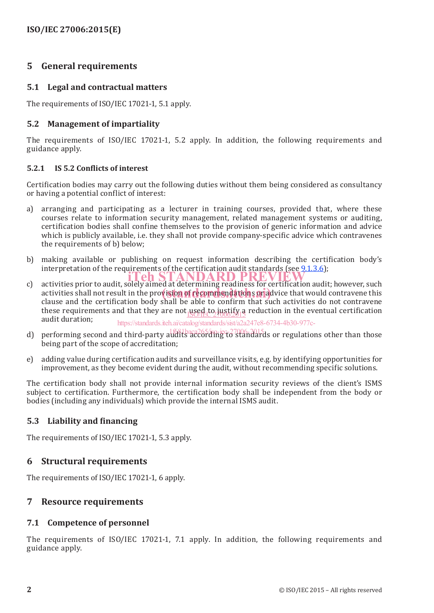## **5 General requirements**

## **5.1 Legal and contractual matters**

The requirements of ISO/IEC 17021-1, 5.1 apply.

## **5.2 Management of impartiality**

The requirements of ISO/IEC 17021-1, 5.2 apply. In addition, the following requirements and guidance apply.

## **5.2.1 IS 5.2 Conflicts of interest**

Certification bodies may carry out the following duties without them being considered as consultancy or having a potential conflict of interest:

- a) arranging and participating as a lecturer in training courses, provided that, where these courses relate to information security management, related management systems or auditing, certification bodies shall confine themselves to the provision of generic information and advice which is publicly available, i.e. they shall not provide company-specific advice which contravenes the requirements of b) below;
- b) making available or publishing on request information describing the certification body's interpretation of the requirements of the certification audit standards (see  $9.1.3.6$ );
- interpretation of the requirements of the certification audit standards (see 21.3.8),<br>c) activities prior to audit, solely aimed at determining readiness for certification audit; however, such activities shall not result in the provision of recommendations or extended a would contravene this always and the continuation hady shall he shall the continuum that such activities do not contravene clause and the certification body shall be able to confirm that such activities do not contravene these requirements and that they are not used to justify a reduction in the eventual certification that is a straining that the server is an allowing that the eventual certification audit duration; https://standards.iteh.ai/catalog/standards/sist/a2a247e8-6734-4b30-977c-
- d) performing second and third-party audits according to standards or regulations other than those being part of the scope of accreditation;
- e) adding value during certification audits and surveillance visits, e.g. by identifying opportunities for improvement, as they become evident during the audit, without recommending specific solutions.

The certification body shall not provide internal information security reviews of the client's ISMS subject to certification. Furthermore, the certification body shall be independent from the body or bodies (including any individuals) which provide the internal ISMS audit.

## **5.3 Liability and financing**

The requirements of ISO/IEC 17021-1, 5.3 apply.

## **6 Structural requirements**

The requirements of ISO/IEC 17021-1, 6 apply.

## **7 Resource requirements**

## **7.1 Competence of personnel**

The requirements of ISO/IEC 17021-1, 7.1 apply. In addition, the following requirements and guidance apply.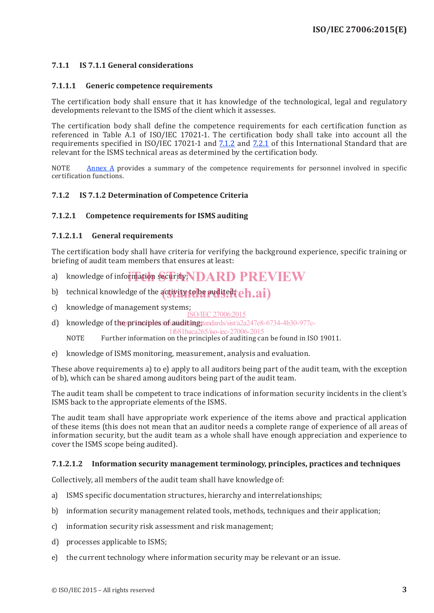## **7.1.1 IS 7.1.1 General considerations**

#### **7.1.1.1 Generic competence requirements**

The certification body shall ensure that it has knowledge of the technological, legal and regulatory developments relevant to the ISMS of the client which it assesses.

The certification body shall define the competence requirements for each certification function as referenced in Table A.1 of ISO/IEC 17021-1. The certification body shall take into account all the requirements specified in ISO/IEC 17021-1 and 7.1.2 and 7.2.1 of this International Standard that are relevant for the ISMS technical areas as determined by the certification body.

NOTE  $A$ nnex  $\overline{A}$  provides a summary of the competence requirements for personnel involved in specific certification functions.

#### **7.1.2 IS 7.1.2 Determination of Competence Criteria**

#### **7.1.2.1 Competence requirements for ISMS auditing**

#### **7.1.2.1.1 General requirements**

The certification body shall have criteria for verifying the background experience, specific training or briefing of audit team members that ensures at least:

- a) knowledge of information security; **IDARD PREVIEW**
- b) technical knowledge of the activity to be audited  $teh.ai)$
- c) knowledge of management systems; ISO/IEC 27006:2015
- d) knowledge of the principles is fauditing tandards/sist/a2a247e8-6734-4b30-977c-

1f681baca265/iso-iec-27006-2015

NOTE Further information on the principles of auditing can be found in ISO 19011.

e) knowledge of ISMS monitoring, measurement, analysis and evaluation.

These above requirements a) to e) apply to all auditors being part of the audit team, with the exception of b), which can be shared among auditors being part of the audit team.

The audit team shall be competent to trace indications of information security incidents in the client's ISMS back to the appropriate elements of the ISMS.

The audit team shall have appropriate work experience of the items above and practical application of these items (this does not mean that an auditor needs a complete range of experience of all areas of information security, but the audit team as a whole shall have enough appreciation and experience to cover the ISMS scope being audited).

#### **7.1.2.1.2 Information security management terminology, principles, practices and techniques**

Collectively, all members of the audit team shall have knowledge of:

- a) ISMS specific documentation structures, hierarchy and interrelationships;
- b) information security management related tools, methods, techniques and their application;
- c) information security risk assessment and risk management;
- d) processes applicable to ISMS;
- e) the current technology where information security may be relevant or an issue.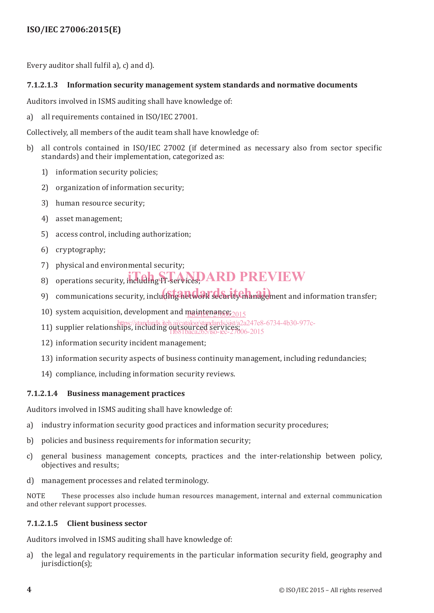## **ISO/IEC 27006:2015(E)**

Every auditor shall fulfil a), c) and d).

## **7.1.2.1.3 Information security management system standards and normative documents**

Auditors involved in ISMS auditing shall have knowledge of:

a) all requirements contained in ISO/IEC 27001.

Collectively, all members of the audit team shall have knowledge of:

- b) all controls contained in ISO/IEC 27002 (if determined as necessary also from sector specific standards) and their implementation, categorized as:
	- 1) information security policies;
	- 2) organization of information security;
	- 3) human resource security;
	- 4) asset management;
	- 5) access control, including authorization;
	- 6) cryptography;
	- 7) physical and environmental security;
	- 8) operations security, including FI-services, ARD PREVIEW
	- 9) communications security, including het work security management and information transfer;
	- 10) system acquisition, development and maintenance; 2015
	- https://standards.iteh.ai/catalog/standards/sist/a2a247e8-6734-4b30-977c-
	- 11) supplier relationships, including outsourced services;<br>[168] haca (6) sec-1f681baca265/iso-iec-27006-2015
	- 12) information security incident management;
	- 13) information security aspects of business continuity management, including redundancies;
	- 14) compliance, including information security reviews.

## **7.1.2.1.4 Business management practices**

Auditors involved in ISMS auditing shall have knowledge of:

- a) industry information security good practices and information security procedures;
- b) policies and business requirements for information security;
- c) general business management concepts, practices and the inter-relationship between policy, objectives and results;
- d) management processes and related terminology.

NOTE These processes also include human resources management, internal and external communication and other relevant support processes.

#### **7.1.2.1.5 Client business sector**

Auditors involved in ISMS auditing shall have knowledge of:

a) the legal and regulatory requirements in the particular information security field, geography and jurisdiction(s);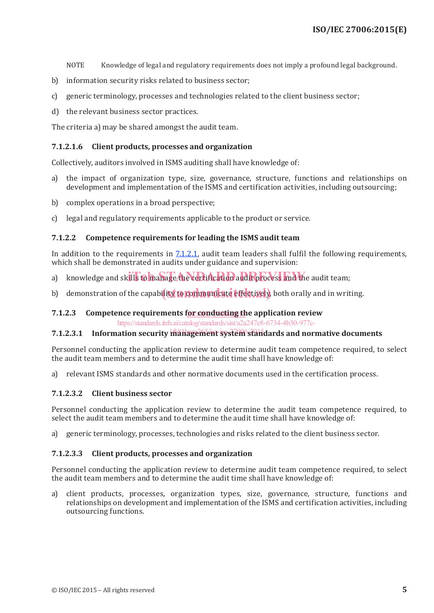NOTE Knowledge of legal and regulatory requirements does not imply a profound legal background.

- b) information security risks related to business sector;
- c) generic terminology, processes and technologies related to the client business sector;
- d) the relevant business sector practices.

The criteria a) may be shared amongst the audit team.

#### **7.1.2.1.6 Client products, processes and organization**

Collectively, auditors involved in ISMS auditing shall have knowledge of:

- a) the impact of organization type, size, governance, structure, functions and relationships on development and implementation of the ISMS and certification activities, including outsourcing;
- b) complex operations in a broad perspective;
- c) legal and regulatory requirements applicable to the product or service.

#### **7.1.2.2 Competence requirements for leading the ISMS audit team**

In addition to the requirements in  $7.1.2.1$ , audit team leaders shall fulfil the following requirements, which shall be demonstrated in audits under guidance and supervision:

- a) knowledge and skills to manage the certification audit process and the audit team;
- b) demonstration of the capability to communicate effectively, both orally and in writing.

## 7.1.2.3 Competence requirements for conducting the application review

https://standards.iteh.ai/catalog/standards/sist/a2a247e8-6734-4b30-977c-

## 7.1.2.3.1 Information security management system standards and normative documents

Personnel conducting the application review to determine audit team competence required, to select the audit team members and to determine the audit time shall have knowledge of:

a) relevant ISMS standards and other normative documents used in the certification process.

#### **7.1.2.3.2 Client business sector**

Personnel conducting the application review to determine the audit team competence required, to select the audit team members and to determine the audit time shall have knowledge of:

a) generic terminology, processes, technologies and risks related to the client business sector.

#### **7.1.2.3.3 Client products, processes and organization**

Personnel conducting the application review to determine audit team competence required, to select the audit team members and to determine the audit time shall have knowledge of:

a) client products, processes, organization types, size, governance, structure, functions and relationships on development and implementation of the ISMS and certification activities, including outsourcing functions.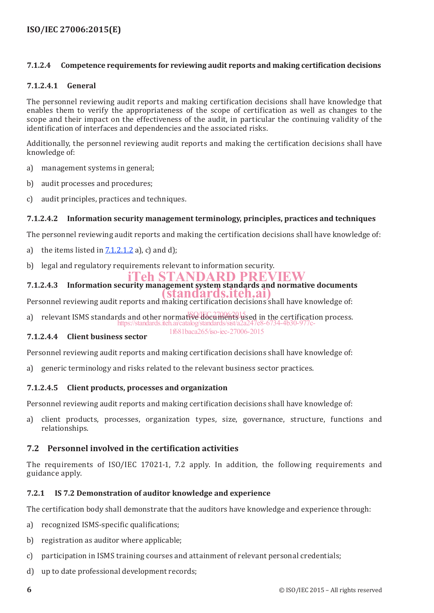## **ISO/IEC 27006:2015(E)**

#### **7.1.2.4 Competence requirements for reviewing audit reports and making certification decisions**

#### **7.1.2.4.1 General**

The personnel reviewing audit reports and making certification decisions shall have knowledge that enables them to verify the appropriateness of the scope of certification as well as changes to the scope and their impact on the effectiveness of the audit, in particular the continuing validity of the identification of interfaces and dependencies and the associated risks.

Additionally, the personnel reviewing audit reports and making the certification decisions shall have knowledge of:

- a) management systems in general;
- b) audit processes and procedures;
- c) audit principles, practices and techniques.

#### **7.1.2.4.2 Information security management terminology, principles, practices and techniques**

The personnel reviewing audit reports and making the certification decisions shall have knowledge of:

- a) the items listed in  $7.1.2.1.2$  a), c) and d);
- b) legal and regulatory requirements relevant to information security.

## iTeh STANDARD PREVIEW

**7.1.2.4.3 Information security management system standards and normative documents** tandards.iteh.ai

Personnel reviewing audit reports and making certification decisions shall have knowledge of:

a) relevant ISMS standards and other normative documents used in the certification process. https://standards.iteh.ai/catalog/standards/sist 1f681baca265/iso-iec-27006-2015

#### **7.1.2.4.4 Client business sector**

Personnel reviewing audit reports and making certification decisions shall have knowledge of:

a) generic terminology and risks related to the relevant business sector practices.

## **7.1.2.4.5 Client products, processes and organization**

Personnel reviewing audit reports and making certification decisions shall have knowledge of:

a) client products, processes, organization types, size, governance, structure, functions and relationships.

## **7.2 Personnel involved in the certification activities**

The requirements of ISO/IEC 17021-1, 7.2 apply. In addition, the following requirements and guidance apply.

## **7.2.1 IS 7.2 Demonstration of auditor knowledge and experience**

The certification body shall demonstrate that the auditors have knowledge and experience through:

- a) recognized ISMS-specific qualifications;
- b) registration as auditor where applicable;
- c) participation in ISMS training courses and attainment of relevant personal credentials;
- d) up to date professional development records;